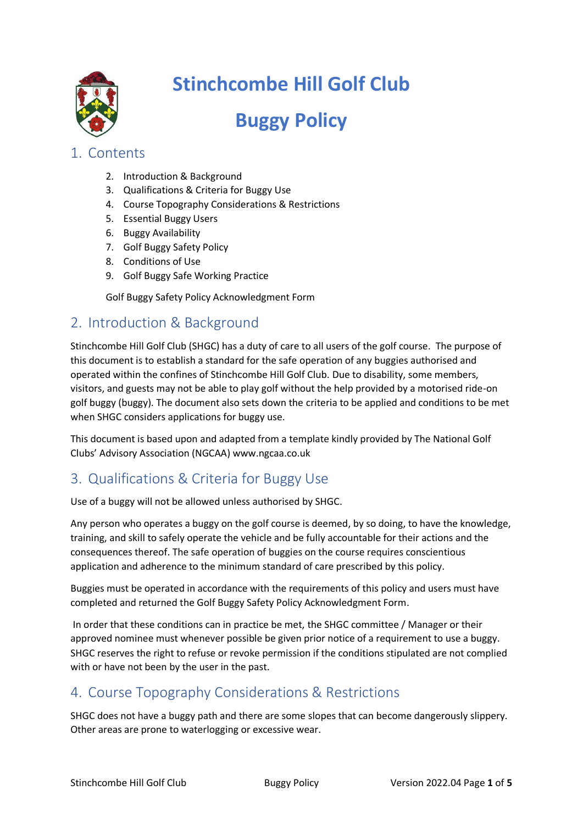

# **Stinchcombe Hill Golf Club**

# **Buggy Policy**

### 1. Contents

- 2. Introduction & Background
- 3. Qualifications & Criteria for Buggy Use
- 4. Course Topography Considerations & Restrictions
- 5. Essential Buggy Users
- 6. Buggy Availability
- 7. Golf Buggy Safety Policy
- 8. Conditions of Use
- 9. Golf Buggy Safe Working Practice

Golf Buggy Safety Policy Acknowledgment Form

## 2. Introduction & Background

Stinchcombe Hill Golf Club (SHGC) has a duty of care to all users of the golf course. The purpose of this document is to establish a standard for the safe operation of any buggies authorised and operated within the confines of Stinchcombe Hill Golf Club. Due to disability, some members, visitors, and guests may not be able to play golf without the help provided by a motorised ride-on golf buggy (buggy). The document also sets down the criteria to be applied and conditions to be met when SHGC considers applications for buggy use.

This document is based upon and adapted from a template kindly provided by The National Golf Clubs' Advisory Association (NGCAA) www.ngcaa.co.uk

# 3. Qualifications & Criteria for Buggy Use

Use of a buggy will not be allowed unless authorised by SHGC.

Any person who operates a buggy on the golf course is deemed, by so doing, to have the knowledge, training, and skill to safely operate the vehicle and be fully accountable for their actions and the consequences thereof. The safe operation of buggies on the course requires conscientious application and adherence to the minimum standard of care prescribed by this policy.

Buggies must be operated in accordance with the requirements of this policy and users must have completed and returned the Golf Buggy Safety Policy Acknowledgment Form.

In order that these conditions can in practice be met, the SHGC committee / Manager or their approved nominee must whenever possible be given prior notice of a requirement to use a buggy. SHGC reserves the right to refuse or revoke permission if the conditions stipulated are not complied with or have not been by the user in the past.

# 4. Course Topography Considerations & Restrictions

SHGC does not have a buggy path and there are some slopes that can become dangerously slippery. Other areas are prone to waterlogging or excessive wear.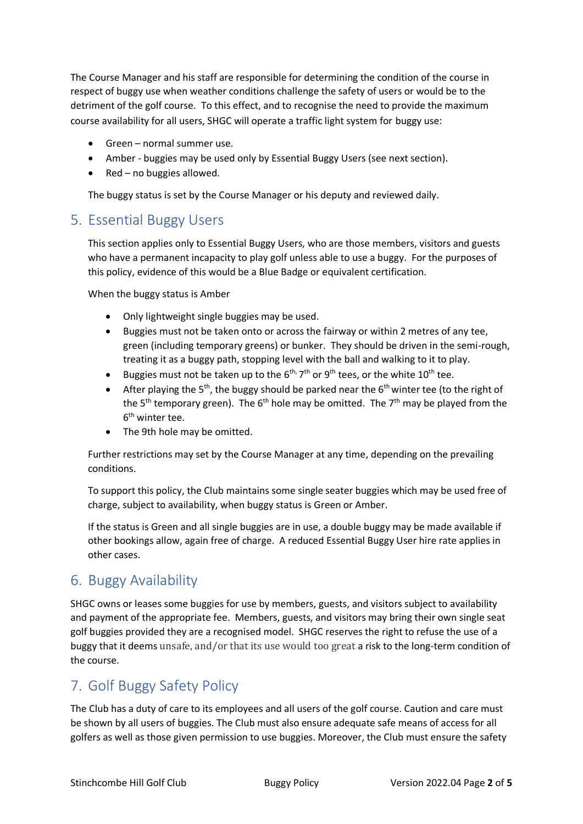The Course Manager and his staff are responsible for determining the condition of the course in respect of buggy use when weather conditions challenge the safety of users or would be to the detriment of the golf course. To this effect, and to recognise the need to provide the maximum course availability for all users, SHGC will operate a traffic light system for buggy use:

- Green normal summer use.
- Amber buggies may be used only by Essential Buggy Users (see next section).
- $Red no$  buggies allowed.

The buggy status is set by the Course Manager or his deputy and reviewed daily.

### 5. Essential Buggy Users

This section applies only to Essential Buggy Users, who are those members, visitors and guests who have a permanent incapacity to play golf unless able to use a buggy. For the purposes of this policy, evidence of this would be a Blue Badge or equivalent certification.

When the buggy status is Amber

- Only lightweight single buggies may be used.
- Buggies must not be taken onto or across the fairway or within 2 metres of any tee, green (including temporary greens) or bunker. They should be driven in the semi-rough, treating it as a buggy path, stopping level with the ball and walking to it to play.
- Buggies must not be taken up to the  $6^{\text{th}}$ ,  $7^{\text{th}}$  or  $9^{\text{th}}$  tees, or the white  $10^{\text{th}}$  tee.
- After playing the  $5<sup>th</sup>$ , the buggy should be parked near the  $6<sup>th</sup>$  winter tee (to the right of the  $5<sup>th</sup>$  temporary green). The  $6<sup>th</sup>$  hole may be omitted. The  $7<sup>th</sup>$  may be played from the 6<sup>th</sup> winter tee.
- The 9th hole may be omitted.

Further restrictions may set by the Course Manager at any time, depending on the prevailing conditions.

To support this policy, the Club maintains some single seater buggies which may be used free of charge, subject to availability, when buggy status is Green or Amber.

If the status is Green and all single buggies are in use, a double buggy may be made available if other bookings allow, again free of charge. A reduced Essential Buggy User hire rate applies in other cases.

## 6. Buggy Availability

SHGC owns or leases some buggies for use by members, guests, and visitors subject to availability and payment of the appropriate fee. Members, guests, and visitors may bring their own single seat golf buggies provided they are a recognised model. SHGC reserves the right to refuse the use of a buggy that it deems unsafe, and/or that its use would too great a risk to the long-term condition of the course.

# 7. Golf Buggy Safety Policy

The Club has a duty of care to its employees and all users of the golf course. Caution and care must be shown by all users of buggies. The Club must also ensure adequate safe means of access for all golfers as well as those given permission to use buggies. Moreover, the Club must ensure the safety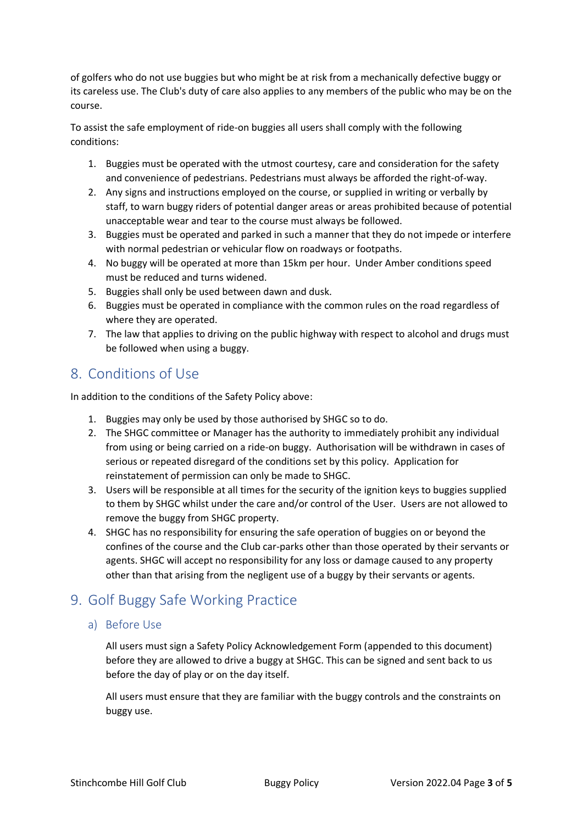of golfers who do not use buggies but who might be at risk from a mechanically defective buggy or its careless use. The Club's duty of care also applies to any members of the public who may be on the course.

To assist the safe employment of ride-on buggies all users shall comply with the following conditions:

- 1. Buggies must be operated with the utmost courtesy, care and consideration for the safety and convenience of pedestrians. Pedestrians must always be afforded the right-of-way.
- 2. Any signs and instructions employed on the course, or supplied in writing or verbally by staff, to warn buggy riders of potential danger areas or areas prohibited because of potential unacceptable wear and tear to the course must always be followed.
- 3. Buggies must be operated and parked in such a manner that they do not impede or interfere with normal pedestrian or vehicular flow on roadways or footpaths.
- 4. No buggy will be operated at more than 15km per hour. Under Amber conditions speed must be reduced and turns widened.
- 5. Buggies shall only be used between dawn and dusk.
- 6. Buggies must be operated in compliance with the common rules on the road regardless of where they are operated.
- 7. The law that applies to driving on the public highway with respect to alcohol and drugs must be followed when using a buggy.

### 8. Conditions of Use

In addition to the conditions of the Safety Policy above:

- 1. Buggies may only be used by those authorised by SHGC so to do.
- 2. The SHGC committee or Manager has the authority to immediately prohibit any individual from using or being carried on a ride-on buggy. Authorisation will be withdrawn in cases of serious or repeated disregard of the conditions set by this policy. Application for reinstatement of permission can only be made to SHGC.
- 3. Users will be responsible at all times for the security of the ignition keys to buggies supplied to them by SHGC whilst under the care and/or control of the User. Users are not allowed to remove the buggy from SHGC property.
- 4. SHGC has no responsibility for ensuring the safe operation of buggies on or beyond the confines of the course and the Club car-parks other than those operated by their servants or agents. SHGC will accept no responsibility for any loss or damage caused to any property other than that arising from the negligent use of a buggy by their servants or agents.

## 9. Golf Buggy Safe Working Practice

a) Before Use

All users must sign a Safety Policy Acknowledgement Form (appended to this document) before they are allowed to drive a buggy at SHGC. This can be signed and sent back to us before the day of play or on the day itself.

All users must ensure that they are familiar with the buggy controls and the constraints on buggy use.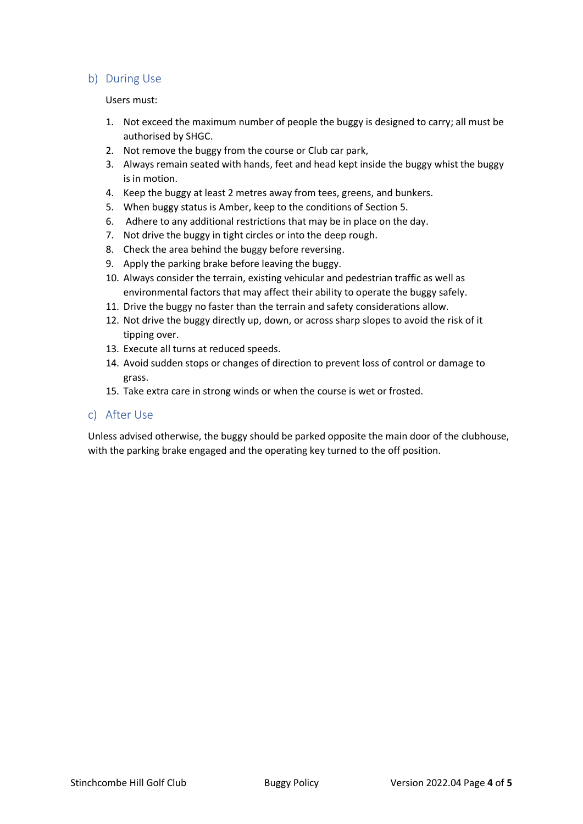#### b) During Use

#### Users must:

- 1. Not exceed the maximum number of people the buggy is designed to carry; all must be authorised by SHGC.
- 2. Not remove the buggy from the course or Club car park,
- 3. Always remain seated with hands, feet and head kept inside the buggy whist the buggy is in motion.
- 4. Keep the buggy at least 2 metres away from tees, greens, and bunkers.
- 5. When buggy status is Amber, keep to the conditions of Section 5.
- 6. Adhere to any additional restrictions that may be in place on the day.
- 7. Not drive the buggy in tight circles or into the deep rough.
- 8. Check the area behind the buggy before reversing.
- 9. Apply the parking brake before leaving the buggy.
- 10. Always consider the terrain, existing vehicular and pedestrian traffic as well as environmental factors that may affect their ability to operate the buggy safely.
- 11. Drive the buggy no faster than the terrain and safety considerations allow.
- 12. Not drive the buggy directly up, down, or across sharp slopes to avoid the risk of it tipping over.
- 13. Execute all turns at reduced speeds.
- 14. Avoid sudden stops or changes of direction to prevent loss of control or damage to grass.
- 15. Take extra care in strong winds or when the course is wet or frosted.

#### c) After Use

Unless advised otherwise, the buggy should be parked opposite the main door of the clubhouse, with the parking brake engaged and the operating key turned to the off position.